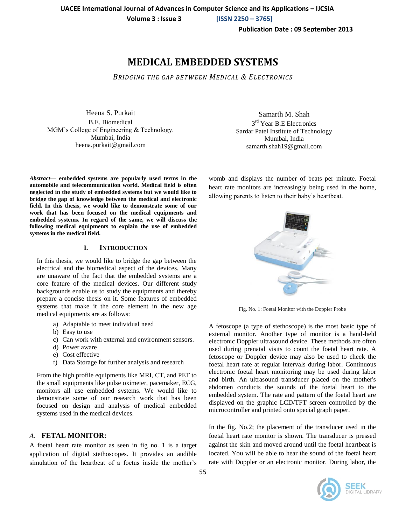**Volume 3 : Issue 3 [ISSN 2250 – 3765]**

**Publication Date : 09 September 2013**

# **MEDICAL EMBEDDED SYSTEMS**

*BRIDGING THE GAP BETWEEN MEDICAL & ELECTRONICS*

Heena S. Purkait B.E. Biomedical MGM's College of Engineering & Technology. Mumbai, India heena.purkait@gmail.com

*Abstract***— embedded systems are popularly used terms in the automobile and telecommunication world. Medical field is often neglected in the study of embedded systems but we would like to bridge the gap of knowledge between the medical and electronic field. In this thesis, we would like to demonstrate some of our work that has been focused on the medical equipments and embedded systems. In regard of the same, we will discuss the following medical equipments to explain the use of embedded systems in the medical field.**

# **I. INTRODUCTION**

In this thesis, we would like to bridge the gap between the electrical and the biomedical aspect of the devices. Many are unaware of the fact that the embedded systems are a core feature of the medical devices. Our different study backgrounds enable us to study the equipments and thereby prepare a concise thesis on it. Some features of embedded systems that make it the core element in the new age medical equipments are as follows:

- a) Adaptable to meet individual need
- b) Easy to use
- c) Can work with external and environment sensors.
- d) Power aware
- e) Cost effective
- f) Data Storage for further analysis and research

From the high profile equipments like MRI, CT, and PET to the small equipments like pulse oximeter, pacemaker, ECG, monitors all use embedded systems. We would like to demonstrate some of our research work that has been focused on design and analysis of medical embedded systems used in the medical devices.

# *A.* **FETAL MONITOR:**

A foetal heart rate monitor as seen in fig no. 1 is a target application of digital stethoscopes. It provides an audible simulation of the heartbeat of a foetus inside the mother's

Samarth M. Shah 3<sup>rd</sup> Year B.E Electronics Sardar Patel Institute of Technology Mumbai, India samarth.shah19@gmail.com

womb and displays the number of beats per minute. Foetal heart rate monitors are increasingly being used in the home, allowing parents to listen to their baby's heartbeat.



Fig. No. 1: Foetal Monitor with the Doppler Probe

A fetoscope (a type of stethoscope) is the most basic type of external monitor. Another type of monitor is a hand-held electronic Doppler ultrasound device. These methods are often used during prenatal visits to count the foetal heart rate. A fetoscope or Doppler device may also be used to check the foetal heart rate at regular intervals during labor. Continuous electronic foetal heart monitoring may be used during labor and birth. An ultrasound transducer placed on the mother's abdomen conducts the sounds of the foetal heart to the embedded system. The rate and pattern of the foetal heart are displayed on the graphic LCD/TFT screen controlled by the microcontroller and printed onto special graph paper.

In the fig. No.2; the placement of the transducer used in the foetal heart rate monitor is shown. The transducer is pressed against the skin and moved around until the foetal heartbeat is located. You will be able to hear the sound of the foetal heart rate with Doppler or an electronic monitor. During labor, the

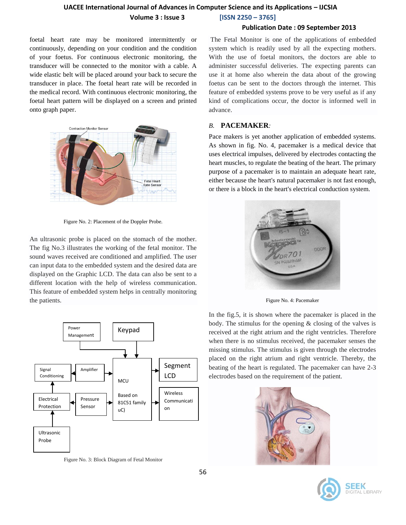# **UACEE International Journal of Advances in Computer Science and its Applications – IJCSIA Volume 3 : Issue 3 [ISSN 2250 – 3765]**

## **Publication Date : 09 September 2013**

foetal heart rate may be monitored intermittently or continuously, depending on your condition and the condition of your foetus. For continuous electronic monitoring, the transducer will be connected to the monitor with a cable. A wide elastic belt will be placed around your back to secure the transducer in place. The foetal heart rate will be recorded in the medical record. With continuous electronic monitoring, the foetal heart pattern will be displayed on a screen and printed onto graph paper.



Figure No. 2: Placement of the Doppler Probe.

An ultrasonic probe is placed on the stomach of the mother. The fig No.3 illustrates the working of the fetal monitor. The sound waves received are conditioned and amplified. The user can input data to the embedded system and the desired data are displayed on the Graphic LCD. The data can also be sent to a different location with the help of wireless communication. This feature of embedded system helps in centrally monitoring the patients.



Figure No. 3: Block Diagram of Fetal Monitor

The Fetal Monitor is one of the applications of embedded system which is readily used by all the expecting mothers. With the use of foetal monitors, the doctors are able to administer successful deliveries. The expecting parents can use it at home also wherein the data about of the growing foetus can be sent to the doctors through the internet. This feature of embedded systems prove to be very useful as if any kind of complications occur, the doctor is informed well in advance.

# *B.* **PACEMAKER***:*

Pace makers is yet another application of embedded systems. As shown in fig. No. 4, pacemaker is a medical device that uses electrical impulses, delivered by electrodes contacting the heart muscles, to regulate the beating of the heart. The primary purpose of a pacemaker is to maintain an adequate heart rate, either because the heart's natural pacemaker is not fast enough, or there is a block in the heart's electrical conduction system.



Figure No. 4: Pacemaker

In the fig.5, it is shown where the pacemaker is placed in the body. The stimulus for the opening & closing of the valves is received at the right atrium and the right ventricles. Therefore when there is no stimulus received, the pacemaker senses the missing stimulus. The stimulus is given through the electrodes placed on the right atrium and right ventricle. Thereby, the beating of the heart is regulated. The pacemaker can have 2-3 electrodes based on the requirement of the patient.



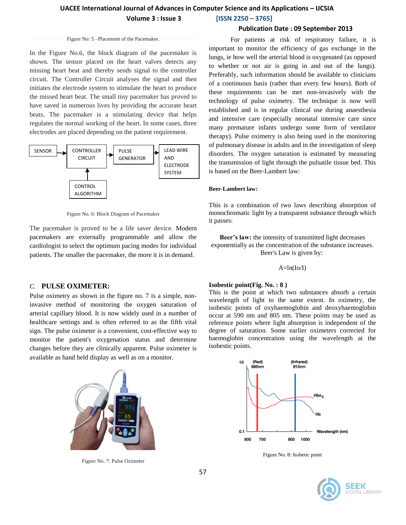**Volume 3 : Issue 3 [ISSN 2250 – 3765]**

# **Publication Date : 09 September 2013**

#### Figure No: 5 –Placement of the Pacemaker.

In the Figure No.6, the block diagram of the pacemaker is shown. The sensor placed on the heart valves detects any missing heart beat and thereby sends signal to the controller circuit. The Controller Circuit analyses the signal and then initiates the electrode system to stimulate the heart to produce the missed heart beat. The small tiny pacemaker has proved to have saved in numerous lives by providing the accurate heart beats. The pacemaker is a stimulating device that helps regulates the normal working of the heart. In some cases, three electrodes are placed depending on the patient requirement.



Figure No. 6: Block Diagram of Pacemaker

The pacemaker is proved to be a life saver device. Modern pacemakers are externally programmable and allow the cardiologist to select the optimum pacing modes for individual patients. The smaller the pacemaker, the more it is in demand.

# *C.* **PULSE OXIMETER:**

Pulse oximetry as shown in the figure no. 7 is a simple, noninvasive method of monitoring the oxygen saturation of arterial capillary blood. It is now widely used in a number of healthcare settings and is often referred to as the fifth vital sign. The pulse oximeter is a convenient, cost-effective way to monitor the patient's oxygenation status and determine changes before they are clinically apparent. Pulse oximeter is available as hand held display as well as on a monitor.



Figure No. 7: Pulse Oximeter

 For patients at risk of respiratory failure, it is important to monitor the efficiency of gas exchange in the lungs, ie how well the arterial blood is oxygenated (as opposed to whether or not air is going in and out of the lungs). Preferably, such information should be available to clinicians of a continuous basis (rather than every few hours). Both of these requirements can be met non-invasively with the technology of pulse oximetry. The technique is now well established and is in regular clinical use during anaesthesia and intensive care (especially neonatal intensive care since many premature infants undergo some form of ventilator therapy). Pulse oximetry is also being used in the monitoring of pulmonary disease in adults and in the investigation of sleep disorders. The oxygen saturation is estimated by measuring the transmission of light through the pulsatile tissue bed. This is based on the Beer-Lambert law:

#### **Beer-Lambert law:**

This is a combination of two laws describing absorption of monochromatic light by a transparent substance through which it passes:

**Beer's law:** the intensity of transmitted light decreases exponentially as the concentration of the substance increases. Beer's Law is given by:

 $A=ln(Io/I)$ 

#### **Isobestic point(Fig. No. : 8 )**

This is the point at which two substances absorb a certain wavelength of light to the same extent. In oximetry, the isobestic points of oxyhaemoglobin and deoxyhaemoglobin occur at 590 nm and 805 nm. These points may be used as reference points where light absorption is independent of the degree of saturation. Some earlier oximeters corrected for haemoglobin concentration using the wavelength at the isobestic points.



Figure No. 8: Isobetic point

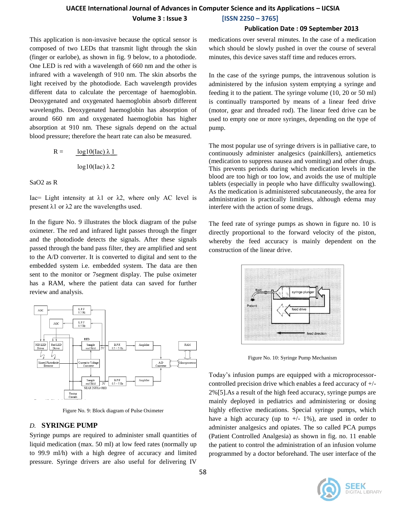**Volume 3 : Issue 3 [ISSN 2250 – 3765]**

# **Publication Date : 09 September 2013**

This application is non-invasive because the optical sensor is composed of two LEDs that transmit light through the skin (finger or earlobe), as shown in fig. 9 below, to a photodiode. One LED is red with a wavelength of 660 nm and the other is infrared with a wavelength of 910 nm. The skin absorbs the light received by the photodiode. Each wavelength provides different data to calculate the percentage of haemoglobin. Deoxygenated and oxygenated haemoglobin absorb different wavelengths. Deoxygenated haemoglobin has absorption of around 660 nm and oxygenated haemoglobin has higher absorption at 910 nm. These signals depend on the actual blood pressure; therefore the heart rate can also be measured.

$$
R = \frac{\log 10(\text{lac}) \lambda 1}{\log 10(\text{lac}) \lambda 2}
$$

SaO2 as R

Iac= Light intensity at  $λ$ 1 or  $λ$ 2, where only AC level is present  $λ$ 1 or  $λ$ 2 are the wavelengths used.

In the figure No. 9 illustrates the block diagram of the pulse oximeter. The red and infrared light passes through the finger and the photodiode detects the signals. After these signals passed through the band pass filter, they are amplified and sent to the A/D converter. It is converted to digital and sent to the embedded system i.e. embedded system. The data are then sent to the monitor or 7segment display. The pulse oximeter has a RAM, where the patient data can saved for further review and analysis.



Figure No. 9: Block diagram of Pulse Oximeter

# *D.* **SYRINGE PUMP**

Syringe pumps are required to administer small quantities of liquid medication (max. 50 ml) at low feed rates (normally up to 99.9 ml/h) with a high degree of accuracy and limited pressure. Syringe drivers are also useful for delivering IV

medications over several minutes. In the case of a medication which should be slowly pushed in over the course of several minutes, this device saves staff time and reduces errors.

In the case of the syringe pumps, the intravenous solution is administered by the infusion system emptying a syringe and feeding it to the patient. The syringe volume (10, 20 or 50 ml) is continually transported by means of a linear feed drive (motor, gear and threaded rod). The linear feed drive can be used to empty one or more syringes, depending on the type of pump.

The most popular use of syringe drivers is in palliative care, to continuously administer analgesics (painkillers), antiemetics (medication to suppress nausea and vomiting) and other drugs. This prevents periods during which medication levels in the blood are too high or too low, and avoids the use of multiple tablets (especially in people who have difficulty swallowing). As the medication is administered subcutaneously, the area for administration is practically limitless, although edema may interfere with the action of some drugs.

The feed rate of syringe pumps as shown in figure no. 10 is directly proportional to the forward velocity of the piston, whereby the feed accuracy is mainly dependent on the construction of the linear drive.



Figure No. 10: Syringe Pump Mechanism

Today's infusion pumps are equipped with a microprocessorcontrolled precision drive which enables a feed accuracy of +/- 2%[5].As a result of the high feed accuracy, syringe pumps are mainly deployed in pediatrics and administering or dosing highly effective medications. Special syringe pumps, which have a high accuracy (up to  $+/- 1\%$ ), are used in order to administer analgesics and opiates. The so called PCA pumps (Patient Controlled Analgesia) as shown in fig. no. 11 enable the patient to control the administration of an infusion volume programmed by a doctor beforehand. The user interface of the